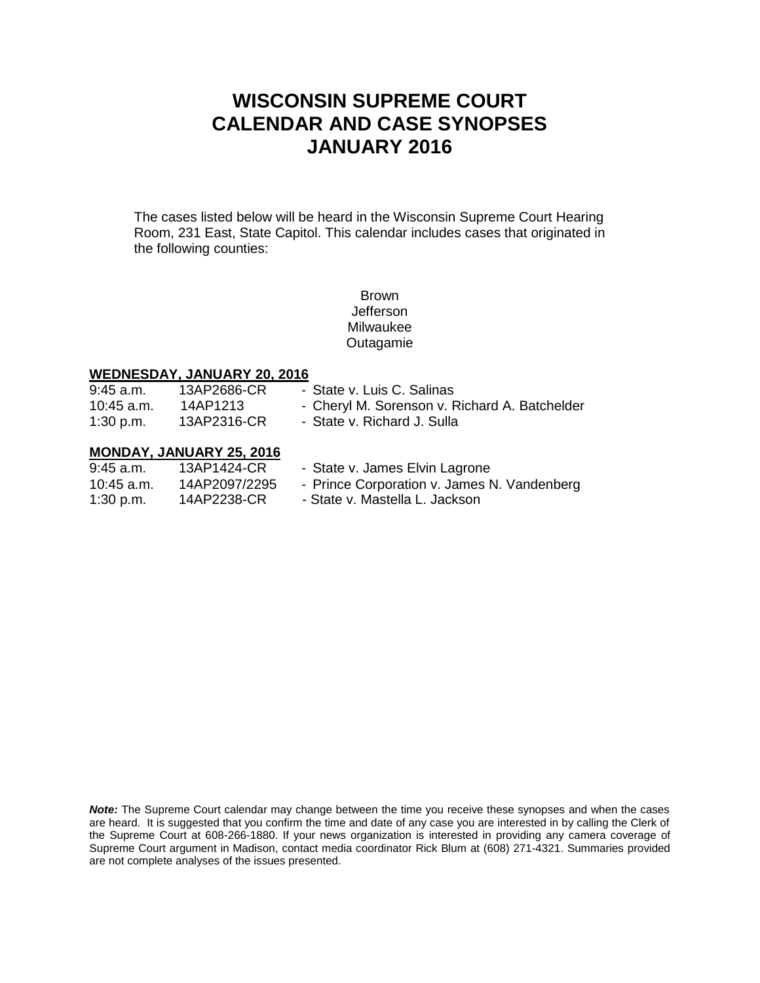# **WISCONSIN SUPREME COURT CALENDAR AND CASE SYNOPSES JANUARY 2016**

The cases listed below will be heard in the Wisconsin Supreme Court Hearing Room, 231 East, State Capitol. This calendar includes cases that originated in the following counties:

> Brown Jefferson Milwaukee Outagamie

## **WEDNESDAY, JANUARY 20, 2016**

| $9:45$ a.m.  | 13AP2686-CR                     | - State v. Luis C. Salinas                    |
|--------------|---------------------------------|-----------------------------------------------|
| 10:45 a.m.   | 14AP1213                        | - Cheryl M. Sorenson v. Richard A. Batchelder |
| 1:30 p.m.    | 13AP2316-CR                     | - State v. Richard J. Sulla                   |
|              | <b>MONDAY, JANUARY 25, 2016</b> |                                               |
| $9:45$ a.m.  | 13AP1424-CR                     | - State v. James Elvin Lagrone                |
| $10:45$ a.m. | 14AP2097/2295                   | - Prince Corporation v. James N. Vandenberg   |

1:30 p.m. 14AP2238-CR - State v. Mastella L. Jackson

**Note:** The Supreme Court calendar may change between the time you receive these synopses and when the cases are heard. It is suggested that you confirm the time and date of any case you are interested in by calling the Clerk of the Supreme Court at 608-266-1880. If your news organization is interested in providing any camera coverage of Supreme Court argument in Madison, contact media coordinator Rick Blum at (608) 271-4321. Summaries provided are not complete analyses of the issues presented.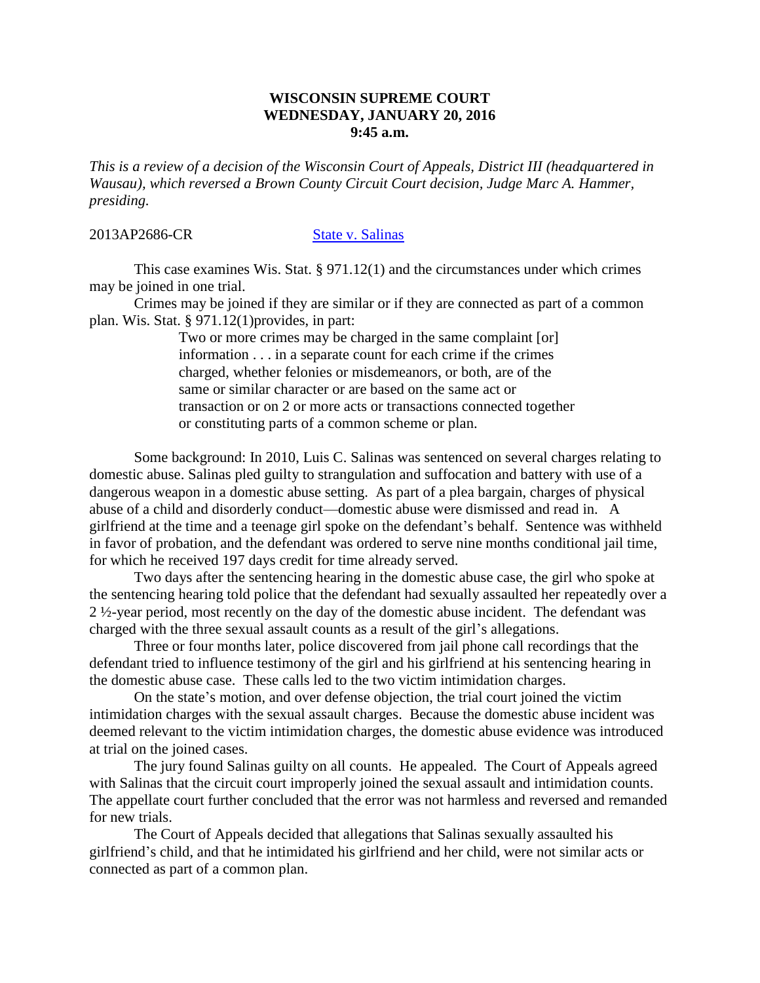#### **WISCONSIN SUPREME COURT WEDNESDAY, JANUARY 20, 2016 9:45 a.m.**

*This is a review of a decision of the Wisconsin Court of Appeals, District III (headquartered in Wausau), which reversed a Brown County Circuit Court decision, Judge Marc A. Hammer, presiding.*

### 2013AP2686-CR [State v. Salinas](http://www.wicourts.gov/ca/opinion/DisplayDocument.pdf?content=pdf&seqNo=140015)

This case examines Wis. Stat. § 971.12(1) and the circumstances under which crimes may be joined in one trial.

Crimes may be joined if they are similar or if they are connected as part of a common plan. Wis. Stat. § 971.12(1)provides, in part:

> Two or more crimes may be charged in the same complaint [or] information . . . in a separate count for each crime if the crimes charged, whether felonies or misdemeanors, or both, are of the same or similar character or are based on the same act or transaction or on 2 or more acts or transactions connected together or constituting parts of a common scheme or plan.

Some background: In 2010, Luis C. Salinas was sentenced on several charges relating to domestic abuse. Salinas pled guilty to strangulation and suffocation and battery with use of a dangerous weapon in a domestic abuse setting. As part of a plea bargain, charges of physical abuse of a child and disorderly conduct—domestic abuse were dismissed and read in. A girlfriend at the time and a teenage girl spoke on the defendant's behalf. Sentence was withheld in favor of probation, and the defendant was ordered to serve nine months conditional jail time, for which he received 197 days credit for time already served.

Two days after the sentencing hearing in the domestic abuse case, the girl who spoke at the sentencing hearing told police that the defendant had sexually assaulted her repeatedly over a 2 ½-year period, most recently on the day of the domestic abuse incident. The defendant was charged with the three sexual assault counts as a result of the girl's allegations.

Three or four months later, police discovered from jail phone call recordings that the defendant tried to influence testimony of the girl and his girlfriend at his sentencing hearing in the domestic abuse case. These calls led to the two victim intimidation charges.

On the state's motion, and over defense objection, the trial court joined the victim intimidation charges with the sexual assault charges. Because the domestic abuse incident was deemed relevant to the victim intimidation charges, the domestic abuse evidence was introduced at trial on the joined cases.

The jury found Salinas guilty on all counts. He appealed. The Court of Appeals agreed with Salinas that the circuit court improperly joined the sexual assault and intimidation counts. The appellate court further concluded that the error was not harmless and reversed and remanded for new trials.

The Court of Appeals decided that allegations that Salinas sexually assaulted his girlfriend's child, and that he intimidated his girlfriend and her child, were not similar acts or connected as part of a common plan.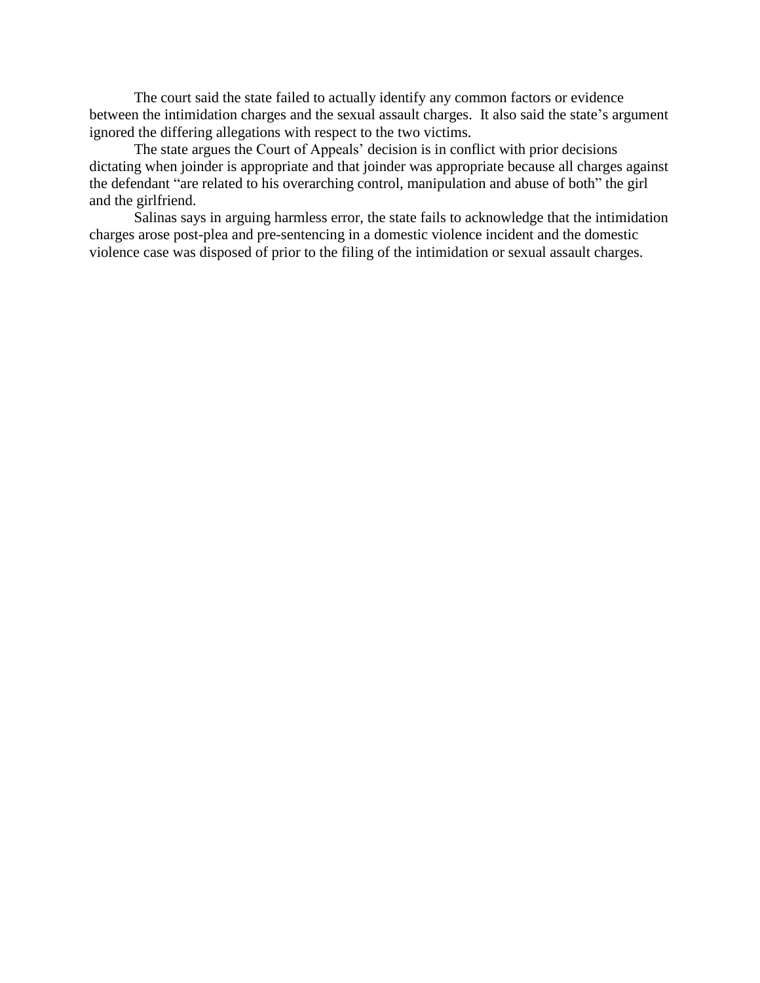The court said the state failed to actually identify any common factors or evidence between the intimidation charges and the sexual assault charges. It also said the state's argument ignored the differing allegations with respect to the two victims.

The state argues the Court of Appeals' decision is in conflict with prior decisions dictating when joinder is appropriate and that joinder was appropriate because all charges against the defendant "are related to his overarching control, manipulation and abuse of both" the girl and the girlfriend.

Salinas says in arguing harmless error, the state fails to acknowledge that the intimidation charges arose post-plea and pre-sentencing in a domestic violence incident and the domestic violence case was disposed of prior to the filing of the intimidation or sexual assault charges.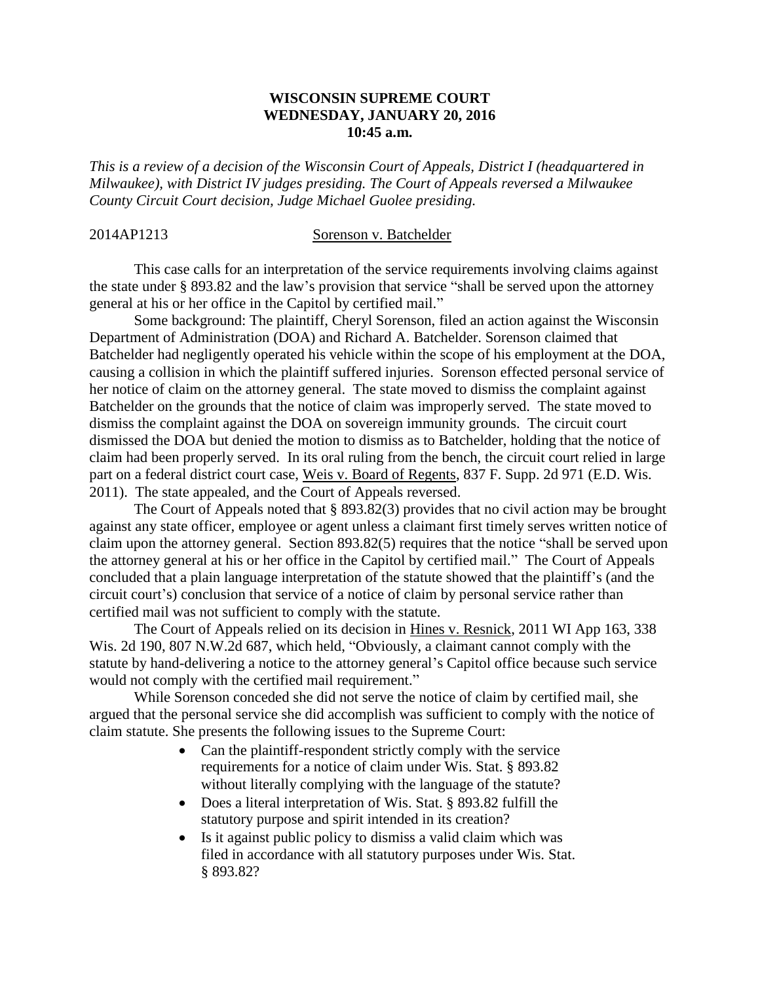### **WISCONSIN SUPREME COURT WEDNESDAY, JANUARY 20, 2016 10:45 a.m.**

*This is a review of a decision of the Wisconsin Court of Appeals, District I (headquartered in Milwaukee), with District IV judges presiding. The Court of Appeals reversed a Milwaukee County Circuit Court decision, Judge Michael Guolee presiding.*

#### 2014AP1213 Sorenson v. Batchelder

This case calls for an interpretation of the service requirements involving claims against the state under § 893.82 and the law's provision that service "shall be served upon the attorney general at his or her office in the Capitol by certified mail."

Some background: The plaintiff, Cheryl Sorenson, filed an action against the Wisconsin Department of Administration (DOA) and Richard A. Batchelder. Sorenson claimed that Batchelder had negligently operated his vehicle within the scope of his employment at the DOA, causing a collision in which the plaintiff suffered injuries. Sorenson effected personal service of her notice of claim on the attorney general. The state moved to dismiss the complaint against Batchelder on the grounds that the notice of claim was improperly served. The state moved to dismiss the complaint against the DOA on sovereign immunity grounds. The circuit court dismissed the DOA but denied the motion to dismiss as to Batchelder, holding that the notice of claim had been properly served. In its oral ruling from the bench, the circuit court relied in large part on a federal district court case, Weis v. Board of Regents, 837 F. Supp. 2d 971 (E.D. Wis. 2011). The state appealed, and the Court of Appeals reversed.

The Court of Appeals noted that § 893.82(3) provides that no civil action may be brought against any state officer, employee or agent unless a claimant first timely serves written notice of claim upon the attorney general. Section 893.82(5) requires that the notice "shall be served upon the attorney general at his or her office in the Capitol by certified mail." The Court of Appeals concluded that a plain language interpretation of the statute showed that the plaintiff's (and the circuit court's) conclusion that service of a notice of claim by personal service rather than certified mail was not sufficient to comply with the statute.

The Court of Appeals relied on its decision in Hines v. Resnick, 2011 WI App 163, 338 Wis. 2d 190, 807 N.W.2d 687, which held, "Obviously, a claimant cannot comply with the statute by hand-delivering a notice to the attorney general's Capitol office because such service would not comply with the certified mail requirement."

While Sorenson conceded she did not serve the notice of claim by certified mail, she argued that the personal service she did accomplish was sufficient to comply with the notice of claim statute. She presents the following issues to the Supreme Court:

- Can the plaintiff-respondent strictly comply with the service requirements for a notice of claim under Wis. Stat. § 893.82 without literally complying with the language of the statute?
- Does a literal interpretation of Wis. Stat. § 893.82 fulfill the statutory purpose and spirit intended in its creation?
- Is it against public policy to dismiss a valid claim which was filed in accordance with all statutory purposes under Wis. Stat. § 893.82?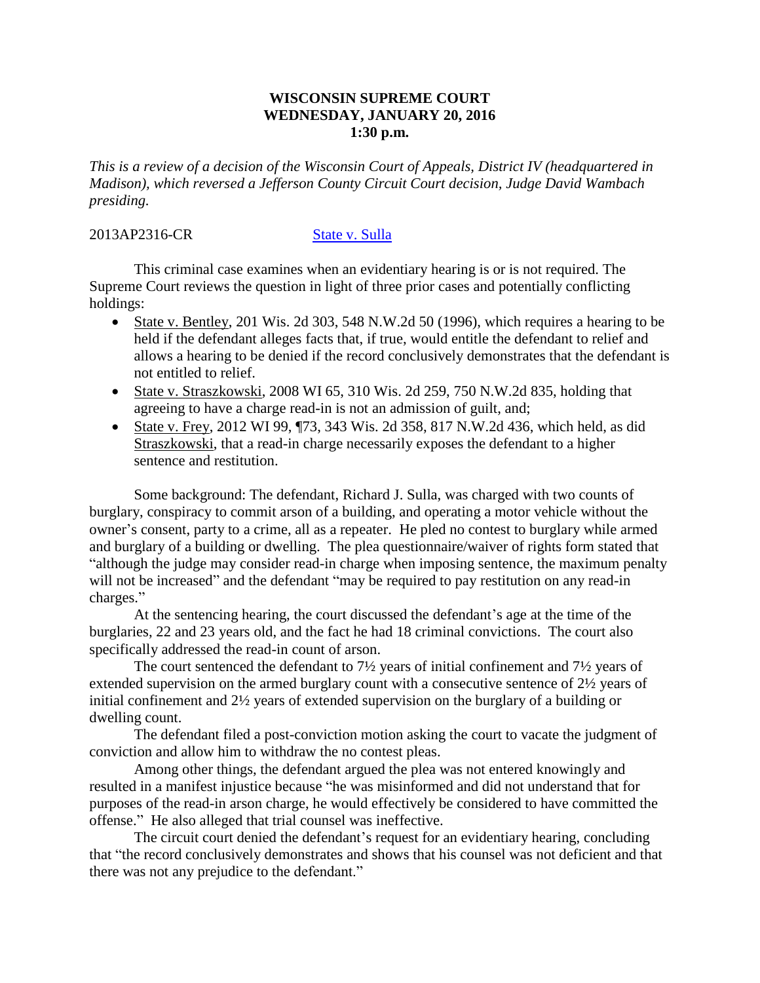### **WISCONSIN SUPREME COURT WEDNESDAY, JANUARY 20, 2016 1:30 p.m.**

*This is a review of a decision of the Wisconsin Court of Appeals, District IV (headquartered in Madison), which reversed a Jefferson County Circuit Court decision, Judge David Wambach presiding.*

### 2013AP2316-CR [State v. Sulla](http://www.wicourts.gov/ca/opinion/DisplayDocument.pdf?content=pdf&seqNo=142087)

This criminal case examines when an evidentiary hearing is or is not required. The Supreme Court reviews the question in light of three prior cases and potentially conflicting holdings:

- State v. Bentley, 201 Wis. 2d 303, 548 N.W.2d 50 (1996), which requires a hearing to be held if the defendant alleges facts that, if true, would entitle the defendant to relief and allows a hearing to be denied if the record conclusively demonstrates that the defendant is not entitled to relief.
- State v. Straszkowski, 2008 WI 65, 310 Wis. 2d 259, 750 N.W. 2d 835, holding that agreeing to have a charge read-in is not an admission of guilt, and;
- State v. Frey, 2012 WI 99, ¶73, 343 Wis. 2d 358, 817 N.W.2d 436, which held, as did Straszkowski, that a read-in charge necessarily exposes the defendant to a higher sentence and restitution.

Some background: The defendant, Richard J. Sulla, was charged with two counts of burglary, conspiracy to commit arson of a building, and operating a motor vehicle without the owner's consent, party to a crime, all as a repeater. He pled no contest to burglary while armed and burglary of a building or dwelling. The plea questionnaire/waiver of rights form stated that "although the judge may consider read-in charge when imposing sentence, the maximum penalty will not be increased" and the defendant "may be required to pay restitution on any read-in charges."

At the sentencing hearing, the court discussed the defendant's age at the time of the burglaries, 22 and 23 years old, and the fact he had 18 criminal convictions. The court also specifically addressed the read-in count of arson.

The court sentenced the defendant to  $7\frac{1}{2}$  years of initial confinement and  $7\frac{1}{2}$  years of extended supervision on the armed burglary count with a consecutive sentence of 2½ years of initial confinement and 2½ years of extended supervision on the burglary of a building or dwelling count.

The defendant filed a post-conviction motion asking the court to vacate the judgment of conviction and allow him to withdraw the no contest pleas.

Among other things, the defendant argued the plea was not entered knowingly and resulted in a manifest injustice because "he was misinformed and did not understand that for purposes of the read-in arson charge, he would effectively be considered to have committed the offense." He also alleged that trial counsel was ineffective.

The circuit court denied the defendant's request for an evidentiary hearing, concluding that "the record conclusively demonstrates and shows that his counsel was not deficient and that there was not any prejudice to the defendant."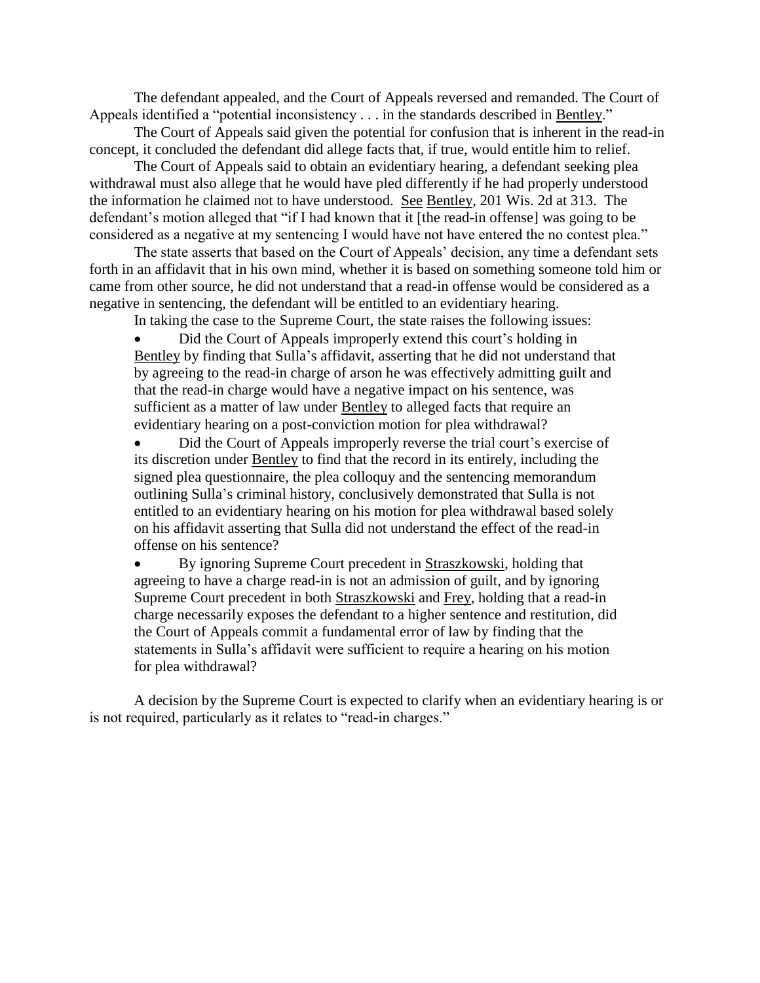The defendant appealed, and the Court of Appeals reversed and remanded. The Court of Appeals identified a "potential inconsistency . . . in the standards described in Bentley."

The Court of Appeals said given the potential for confusion that is inherent in the read-in concept, it concluded the defendant did allege facts that, if true, would entitle him to relief.

The Court of Appeals said to obtain an evidentiary hearing, a defendant seeking plea withdrawal must also allege that he would have pled differently if he had properly understood the information he claimed not to have understood. See Bentley, 201 Wis. 2d at 313. The defendant's motion alleged that "if I had known that it [the read-in offense] was going to be considered as a negative at my sentencing I would have not have entered the no contest plea."

The state asserts that based on the Court of Appeals' decision, any time a defendant sets forth in an affidavit that in his own mind, whether it is based on something someone told him or came from other source, he did not understand that a read-in offense would be considered as a negative in sentencing, the defendant will be entitled to an evidentiary hearing.

In taking the case to the Supreme Court, the state raises the following issues:

 Did the Court of Appeals improperly extend this court's holding in Bentley by finding that Sulla's affidavit, asserting that he did not understand that by agreeing to the read-in charge of arson he was effectively admitting guilt and that the read-in charge would have a negative impact on his sentence, was sufficient as a matter of law under Bentley to alleged facts that require an evidentiary hearing on a post-conviction motion for plea withdrawal?

 Did the Court of Appeals improperly reverse the trial court's exercise of its discretion under Bentley to find that the record in its entirely, including the signed plea questionnaire, the plea colloquy and the sentencing memorandum outlining Sulla's criminal history, conclusively demonstrated that Sulla is not entitled to an evidentiary hearing on his motion for plea withdrawal based solely on his affidavit asserting that Sulla did not understand the effect of the read-in offense on his sentence?

 By ignoring Supreme Court precedent in Straszkowski, holding that agreeing to have a charge read-in is not an admission of guilt, and by ignoring Supreme Court precedent in both Straszkowski and Frey, holding that a read-in charge necessarily exposes the defendant to a higher sentence and restitution, did the Court of Appeals commit a fundamental error of law by finding that the statements in Sulla's affidavit were sufficient to require a hearing on his motion for plea withdrawal?

A decision by the Supreme Court is expected to clarify when an evidentiary hearing is or is not required, particularly as it relates to "read-in charges."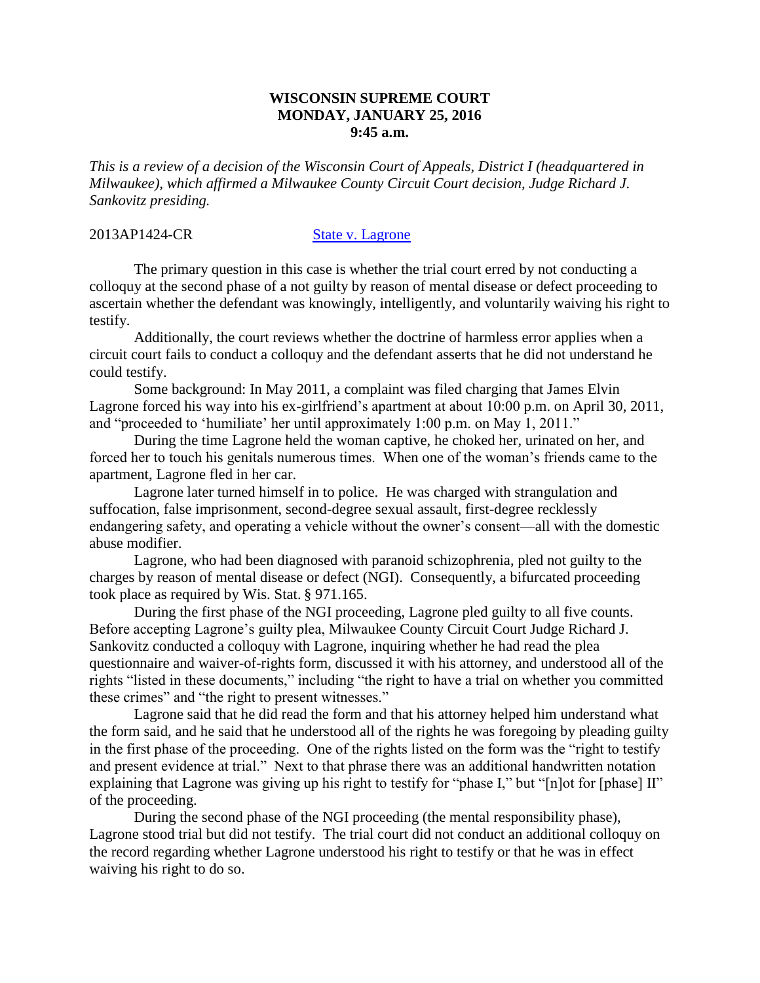### **WISCONSIN SUPREME COURT MONDAY, JANUARY 25, 2016 9:45 a.m.**

*This is a review of a decision of the Wisconsin Court of Appeals, District I (headquartered in Milwaukee), which affirmed a Milwaukee County Circuit Court decision, Judge Richard J. Sankovitz presiding.*

2013AP1424-CR [State v. Lagrone](http://www.wicourts.gov/ca/opinion/DisplayDocument.pdf?content=pdf&seqNo=139119)

The primary question in this case is whether the trial court erred by not conducting a colloquy at the second phase of a not guilty by reason of mental disease or defect proceeding to ascertain whether the defendant was knowingly, intelligently, and voluntarily waiving his right to testify.

Additionally, the court reviews whether the doctrine of harmless error applies when a circuit court fails to conduct a colloquy and the defendant asserts that he did not understand he could testify.

Some background: In May 2011, a complaint was filed charging that James Elvin Lagrone forced his way into his ex-girlfriend's apartment at about 10:00 p.m. on April 30, 2011, and "proceeded to 'humiliate' her until approximately 1:00 p.m. on May 1, 2011."

During the time Lagrone held the woman captive, he choked her, urinated on her, and forced her to touch his genitals numerous times. When one of the woman's friends came to the apartment, Lagrone fled in her car.

Lagrone later turned himself in to police. He was charged with strangulation and suffocation, false imprisonment, second-degree sexual assault, first-degree recklessly endangering safety, and operating a vehicle without the owner's consent—all with the domestic abuse modifier.

Lagrone, who had been diagnosed with paranoid schizophrenia, pled not guilty to the charges by reason of mental disease or defect (NGI). Consequently, a bifurcated proceeding took place as required by Wis. Stat. § 971.165.

During the first phase of the NGI proceeding, Lagrone pled guilty to all five counts. Before accepting Lagrone's guilty plea, Milwaukee County Circuit Court Judge Richard J. Sankovitz conducted a colloquy with Lagrone, inquiring whether he had read the plea questionnaire and waiver-of-rights form, discussed it with his attorney, and understood all of the rights "listed in these documents," including "the right to have a trial on whether you committed these crimes" and "the right to present witnesses."

Lagrone said that he did read the form and that his attorney helped him understand what the form said, and he said that he understood all of the rights he was foregoing by pleading guilty in the first phase of the proceeding. One of the rights listed on the form was the "right to testify and present evidence at trial." Next to that phrase there was an additional handwritten notation explaining that Lagrone was giving up his right to testify for "phase I," but "[n]ot for [phase] II" of the proceeding.

During the second phase of the NGI proceeding (the mental responsibility phase), Lagrone stood trial but did not testify. The trial court did not conduct an additional colloquy on the record regarding whether Lagrone understood his right to testify or that he was in effect waiving his right to do so.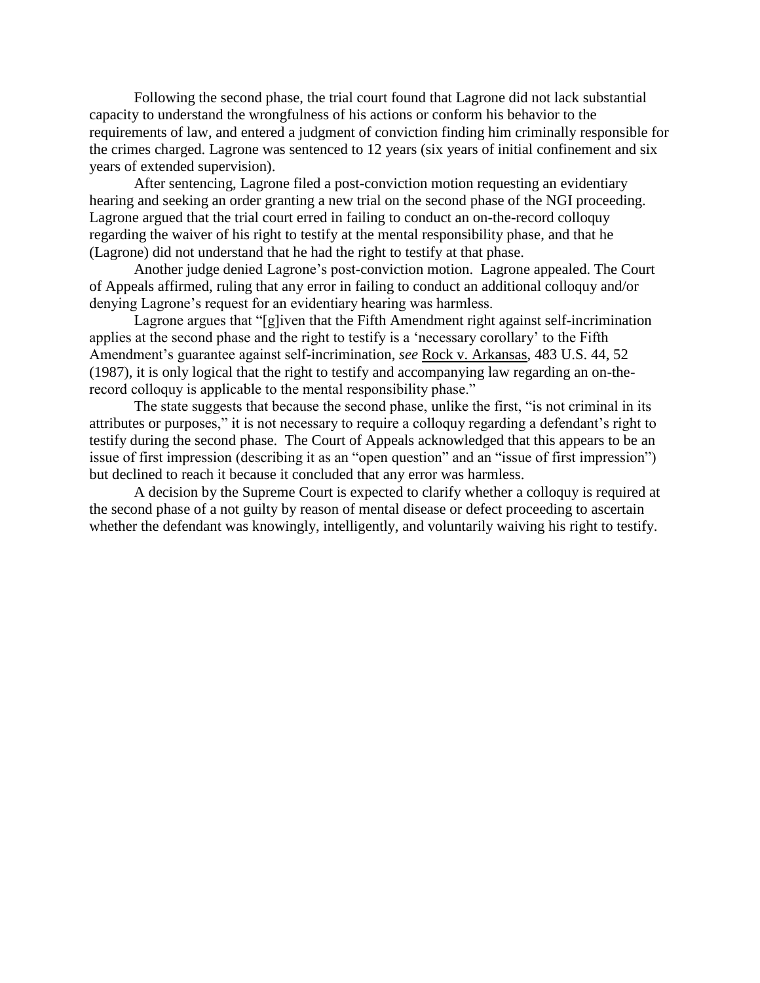Following the second phase, the trial court found that Lagrone did not lack substantial capacity to understand the wrongfulness of his actions or conform his behavior to the requirements of law, and entered a judgment of conviction finding him criminally responsible for the crimes charged. Lagrone was sentenced to 12 years (six years of initial confinement and six years of extended supervision).

After sentencing, Lagrone filed a post-conviction motion requesting an evidentiary hearing and seeking an order granting a new trial on the second phase of the NGI proceeding. Lagrone argued that the trial court erred in failing to conduct an on-the-record colloquy regarding the waiver of his right to testify at the mental responsibility phase, and that he (Lagrone) did not understand that he had the right to testify at that phase.

Another judge denied Lagrone's post-conviction motion. Lagrone appealed. The Court of Appeals affirmed, ruling that any error in failing to conduct an additional colloquy and/or denying Lagrone's request for an evidentiary hearing was harmless.

Lagrone argues that "[g]iven that the Fifth Amendment right against self-incrimination applies at the second phase and the right to testify is a 'necessary corollary' to the Fifth Amendment's guarantee against self-incrimination, *see* Rock v. Arkansas, 483 U.S. 44, 52 (1987), it is only logical that the right to testify and accompanying law regarding an on-therecord colloquy is applicable to the mental responsibility phase."

The state suggests that because the second phase, unlike the first, "is not criminal in its attributes or purposes," it is not necessary to require a colloquy regarding a defendant's right to testify during the second phase. The Court of Appeals acknowledged that this appears to be an issue of first impression (describing it as an "open question" and an "issue of first impression") but declined to reach it because it concluded that any error was harmless.

A decision by the Supreme Court is expected to clarify whether a colloquy is required at the second phase of a not guilty by reason of mental disease or defect proceeding to ascertain whether the defendant was knowingly, intelligently, and voluntarily waiving his right to testify.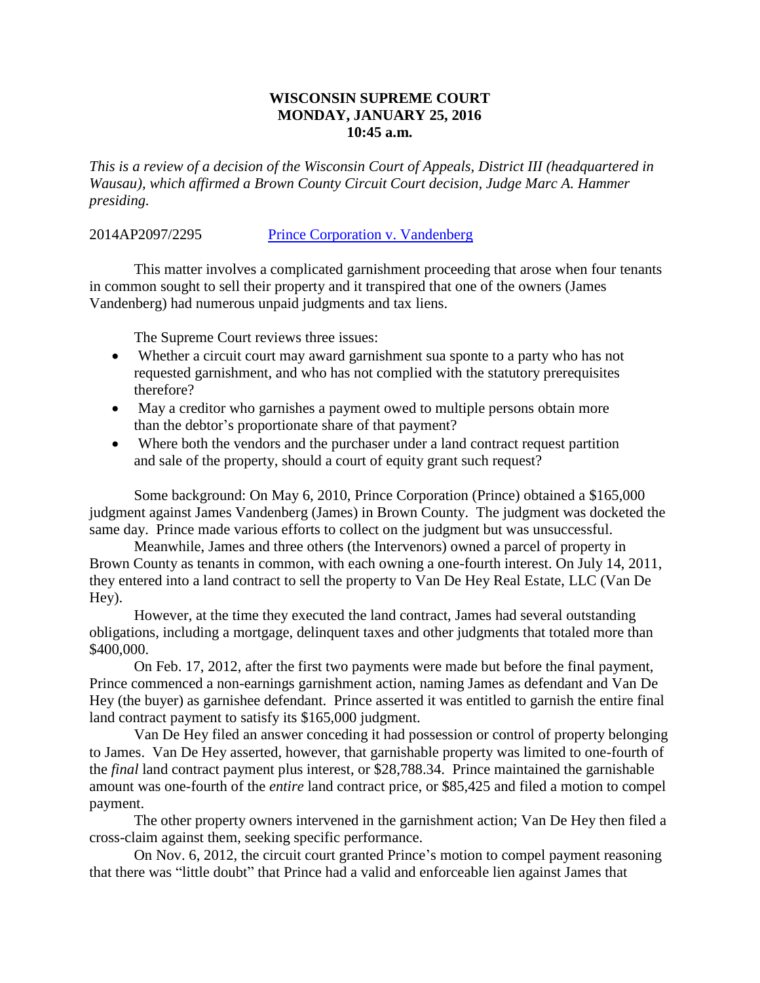## **WISCONSIN SUPREME COURT MONDAY, JANUARY 25, 2016 10:45 a.m.**

*This is a review of a decision of the Wisconsin Court of Appeals, District III (headquartered in Wausau), which affirmed a Brown County Circuit Court decision, Judge Marc A. Hammer presiding.*

## 2014AP2097/2295 [Prince Corporation v. Vandenberg](http://www.wicourts.gov/ca/opinion/DisplayDocument.pdf?content=pdf&seqNo=143024)

This matter involves a complicated garnishment proceeding that arose when four tenants in common sought to sell their property and it transpired that one of the owners (James Vandenberg) had numerous unpaid judgments and tax liens.

The Supreme Court reviews three issues:

- Whether a circuit court may award garnishment sua sponte to a party who has not requested garnishment, and who has not complied with the statutory prerequisites therefore?
- May a creditor who garnishes a payment owed to multiple persons obtain more than the debtor's proportionate share of that payment?
- Where both the vendors and the purchaser under a land contract request partition and sale of the property, should a court of equity grant such request?

Some background: On May 6, 2010, Prince Corporation (Prince) obtained a \$165,000 judgment against James Vandenberg (James) in Brown County. The judgment was docketed the same day. Prince made various efforts to collect on the judgment but was unsuccessful.

Meanwhile, James and three others (the Intervenors) owned a parcel of property in Brown County as tenants in common, with each owning a one-fourth interest. On July 14, 2011, they entered into a land contract to sell the property to Van De Hey Real Estate, LLC (Van De Hey).

However, at the time they executed the land contract, James had several outstanding obligations, including a mortgage, delinquent taxes and other judgments that totaled more than \$400,000.

On Feb. 17, 2012, after the first two payments were made but before the final payment, Prince commenced a non-earnings garnishment action, naming James as defendant and Van De Hey (the buyer) as garnishee defendant. Prince asserted it was entitled to garnish the entire final land contract payment to satisfy its \$165,000 judgment.

Van De Hey filed an answer conceding it had possession or control of property belonging to James. Van De Hey asserted, however, that garnishable property was limited to one-fourth of the *final* land contract payment plus interest, or \$28,788.34. Prince maintained the garnishable amount was one-fourth of the *entire* land contract price, or \$85,425 and filed a motion to compel payment.

The other property owners intervened in the garnishment action; Van De Hey then filed a cross-claim against them, seeking specific performance.

On Nov. 6, 2012, the circuit court granted Prince's motion to compel payment reasoning that there was "little doubt" that Prince had a valid and enforceable lien against James that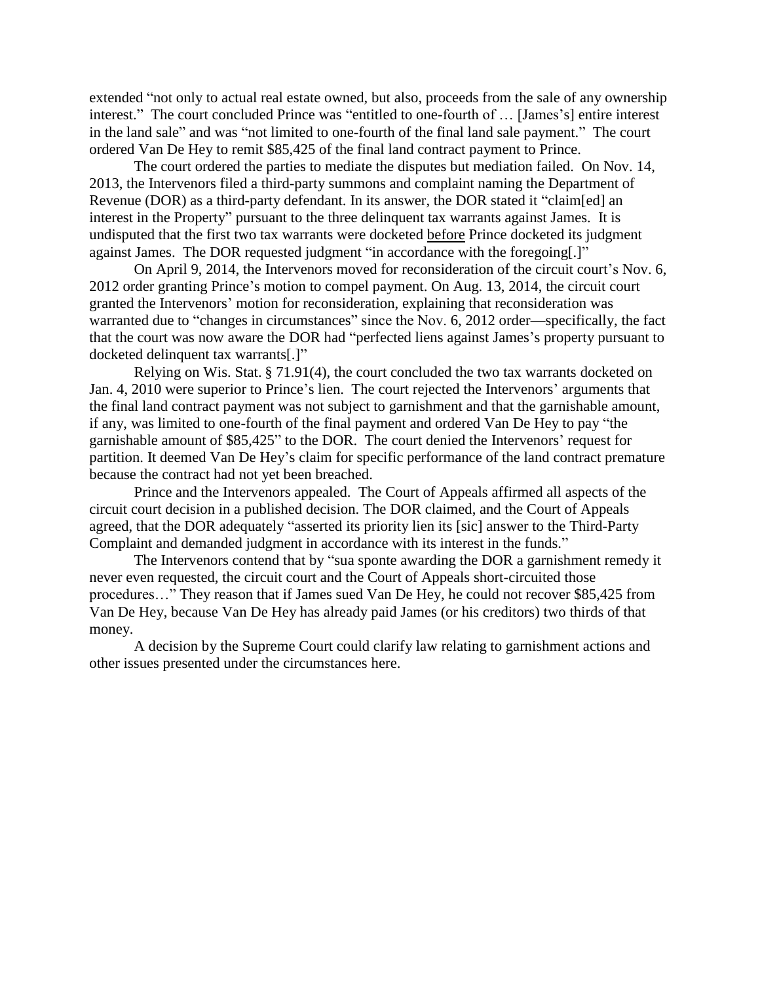extended "not only to actual real estate owned, but also, proceeds from the sale of any ownership interest." The court concluded Prince was "entitled to one-fourth of … [James's] entire interest in the land sale" and was "not limited to one-fourth of the final land sale payment." The court ordered Van De Hey to remit \$85,425 of the final land contract payment to Prince.

The court ordered the parties to mediate the disputes but mediation failed. On Nov. 14, 2013, the Intervenors filed a third-party summons and complaint naming the Department of Revenue (DOR) as a third-party defendant. In its answer, the DOR stated it "claim[ed] an interest in the Property" pursuant to the three delinquent tax warrants against James. It is undisputed that the first two tax warrants were docketed before Prince docketed its judgment against James. The DOR requested judgment "in accordance with the foregoing[.]"

On April 9, 2014, the Intervenors moved for reconsideration of the circuit court's Nov. 6, 2012 order granting Prince's motion to compel payment. On Aug. 13, 2014, the circuit court granted the Intervenors' motion for reconsideration, explaining that reconsideration was warranted due to "changes in circumstances" since the Nov. 6, 2012 order—specifically, the fact that the court was now aware the DOR had "perfected liens against James's property pursuant to docketed delinquent tax warrants[.]"

Relying on Wis. Stat. § 71.91(4), the court concluded the two tax warrants docketed on Jan. 4, 2010 were superior to Prince's lien. The court rejected the Intervenors' arguments that the final land contract payment was not subject to garnishment and that the garnishable amount, if any, was limited to one-fourth of the final payment and ordered Van De Hey to pay "the garnishable amount of \$85,425" to the DOR. The court denied the Intervenors' request for partition. It deemed Van De Hey's claim for specific performance of the land contract premature because the contract had not yet been breached.

Prince and the Intervenors appealed. The Court of Appeals affirmed all aspects of the circuit court decision in a published decision. The DOR claimed, and the Court of Appeals agreed, that the DOR adequately "asserted its priority lien its [sic] answer to the Third-Party Complaint and demanded judgment in accordance with its interest in the funds."

The Intervenors contend that by "sua sponte awarding the DOR a garnishment remedy it never even requested, the circuit court and the Court of Appeals short-circuited those procedures…" They reason that if James sued Van De Hey, he could not recover \$85,425 from Van De Hey, because Van De Hey has already paid James (or his creditors) two thirds of that money.

A decision by the Supreme Court could clarify law relating to garnishment actions and other issues presented under the circumstances here.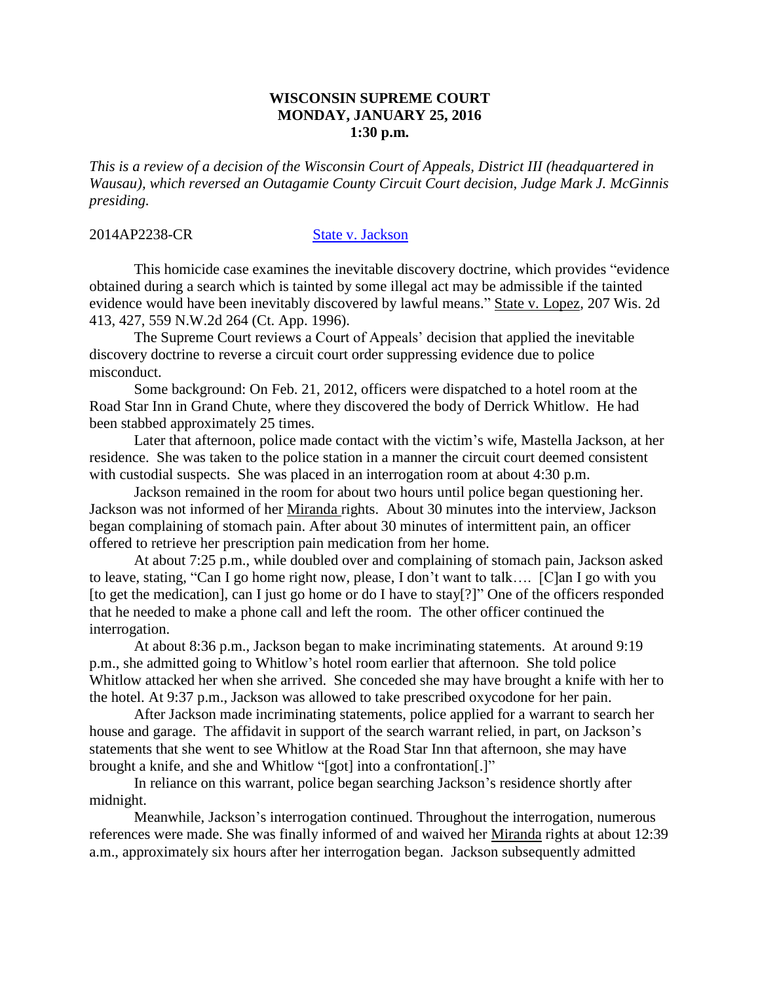### **WISCONSIN SUPREME COURT MONDAY, JANUARY 25, 2016 1:30 p.m.**

*This is a review of a decision of the Wisconsin Court of Appeals, District III (headquartered in Wausau), which reversed an Outagamie County Circuit Court decision, Judge Mark J. McGinnis presiding.*

#### 2014AP2238-CR [State v. Jackson](http://www.wicourts.gov/ca/opinion/DisplayDocument.pdf?content=pdf&seqNo=141620)

This homicide case examines the inevitable discovery doctrine, which provides "evidence obtained during a search which is tainted by some illegal act may be admissible if the tainted evidence would have been inevitably discovered by lawful means." State v. Lopez*,* 207 Wis. 2d 413, 427, 559 N.W.2d 264 (Ct. App. 1996).

The Supreme Court reviews a Court of Appeals' decision that applied the inevitable discovery doctrine to reverse a circuit court order suppressing evidence due to police misconduct.

Some background: On Feb. 21, 2012, officers were dispatched to a hotel room at the Road Star Inn in Grand Chute, where they discovered the body of Derrick Whitlow. He had been stabbed approximately 25 times.

Later that afternoon, police made contact with the victim's wife, Mastella Jackson, at her residence. She was taken to the police station in a manner the circuit court deemed consistent with custodial suspects. She was placed in an interrogation room at about 4:30 p.m.

Jackson remained in the room for about two hours until police began questioning her. Jackson was not informed of her Miranda rights. About 30 minutes into the interview, Jackson began complaining of stomach pain. After about 30 minutes of intermittent pain, an officer offered to retrieve her prescription pain medication from her home.

At about 7:25 p.m., while doubled over and complaining of stomach pain, Jackson asked to leave, stating, "Can I go home right now, please, I don't want to talk…. [C]an I go with you [to get the medication], can I just go home or do I have to stay[?]" One of the officers responded that he needed to make a phone call and left the room. The other officer continued the interrogation.

At about 8:36 p.m., Jackson began to make incriminating statements. At around 9:19 p.m., she admitted going to Whitlow's hotel room earlier that afternoon. She told police Whitlow attacked her when she arrived. She conceded she may have brought a knife with her to the hotel. At 9:37 p.m., Jackson was allowed to take prescribed oxycodone for her pain.

After Jackson made incriminating statements, police applied for a warrant to search her house and garage. The affidavit in support of the search warrant relied, in part, on Jackson's statements that she went to see Whitlow at the Road Star Inn that afternoon, she may have brought a knife, and she and Whitlow "[got] into a confrontation[.]"

In reliance on this warrant, police began searching Jackson's residence shortly after midnight.

Meanwhile, Jackson's interrogation continued. Throughout the interrogation, numerous references were made. She was finally informed of and waived her Miranda rights at about 12:39 a.m., approximately six hours after her interrogation began. Jackson subsequently admitted